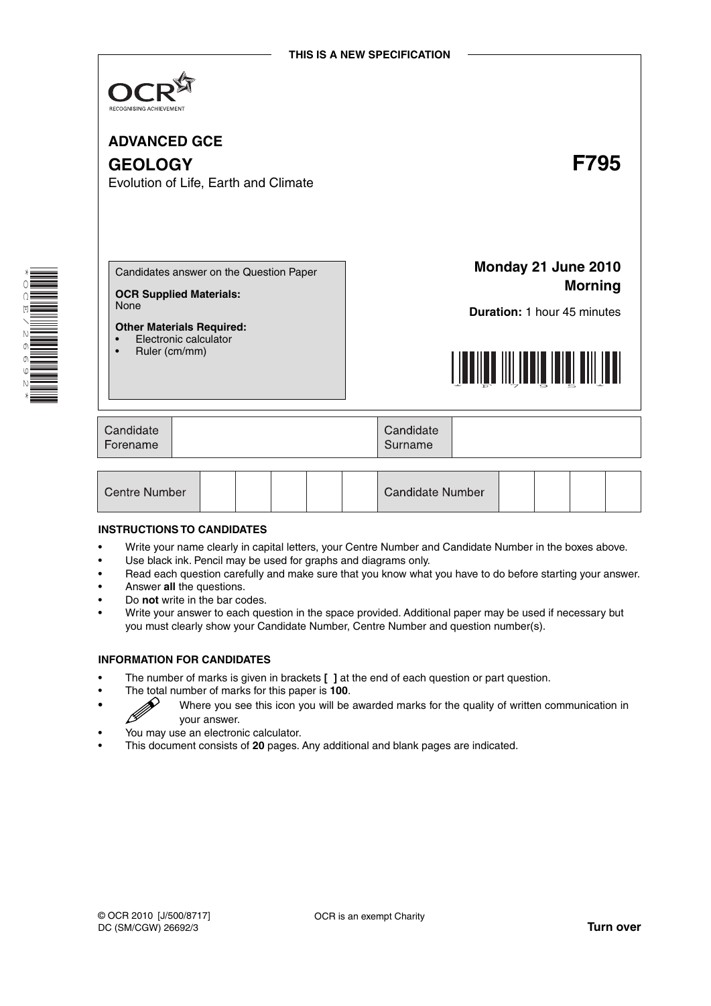

**ADVANCED GCE GEOLOGY F795** Evolution of Life, Earth and Climate Candidates answer on the Question Paper **OCR Supplied Materials:** None **Other Materials Required:** • Electronic calculator • Ruler (cm/mm) **Monday 21 June 2010 Morning Duration:** 1 hour 45 minutes <u>FILMIN FAILLEEN HALLEN HII III II</u>

| Candidate<br>Forename | Candidate<br>Surname |  |
|-----------------------|----------------------|--|
|                       |                      |  |

| Centre Number |  |  |  |  |  | <b>Candidate Number</b> |  |  |  |  |  |
|---------------|--|--|--|--|--|-------------------------|--|--|--|--|--|
|---------------|--|--|--|--|--|-------------------------|--|--|--|--|--|

#### **INSTRUCTIONS TO CANDIDATES**

- Write your name clearly in capital letters, your Centre Number and Candidate Number in the boxes above.
- Use black ink. Pencil may be used for graphs and diagrams only.
- Read each question carefully and make sure that you know what you have to do before starting your answer.
- Answer **all** the questions.
- Do **not** write in the bar codes.
- Write your answer to each question in the space provided. Additional paper may be used if necessary but you must clearly show your Candidate Number, Centre Number and question number(s).

#### **INFORMATION FOR CANDIDATES**

- The number of marks is given in brackets **[ ]** at the end of each question or part question.
- 
- The total number of marks for this paper is **100**.<br>Where you see this icon you will be vour anower. • Where you see this icon you will be awarded marks for the quality of written communication in your answer.
- You may use an electronic calculator.
- This document consists of **20** pages. Any additional and blank pages are indicated.



\* O<br>Q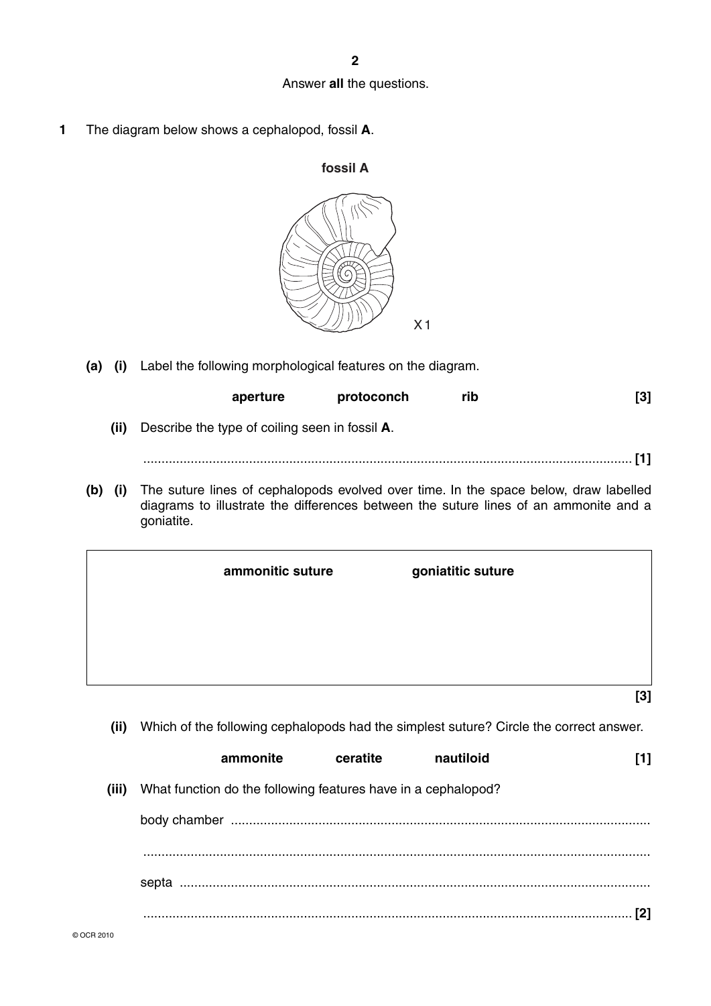## Answer **all** the questions.

**1** The diagram below shows a cephalopod, fossil **A**.



 **(a) (i)** Label the following morphological features on the diagram.

| $\left\lceil 3 \right\rceil$                                                              | rib | protoconch | aperture |                                                |      |     |
|-------------------------------------------------------------------------------------------|-----|------------|----------|------------------------------------------------|------|-----|
|                                                                                           |     |            |          | Describe the type of coiling seen in fossil A. | (ii) |     |
|                                                                                           |     |            |          |                                                |      |     |
| the The sutual incolated association of contract income in the cross of a love that it is |     |            |          |                                                |      | 761 |

 **(b) (i)** The suture lines of cephalopods evolved over time. In the space below, draw labelled diagrams to illustrate the differences between the suture lines of an ammonite and a goniatite.

| ammonitic suture | goniatitic suture |
|------------------|-------------------|
|                  |                   |
|                  |                   |
|                  | $[3]$             |

 **(ii)** Which of the following cephalopods had the simplest suture? Circle the correct answer.

|       | ammonite                                                      | ceratite | nautiloid |  |
|-------|---------------------------------------------------------------|----------|-----------|--|
| (iii) | What function do the following features have in a cephalopod? |          |           |  |
|       |                                                               |          |           |  |
|       |                                                               |          |           |  |
|       |                                                               |          |           |  |
|       |                                                               |          |           |  |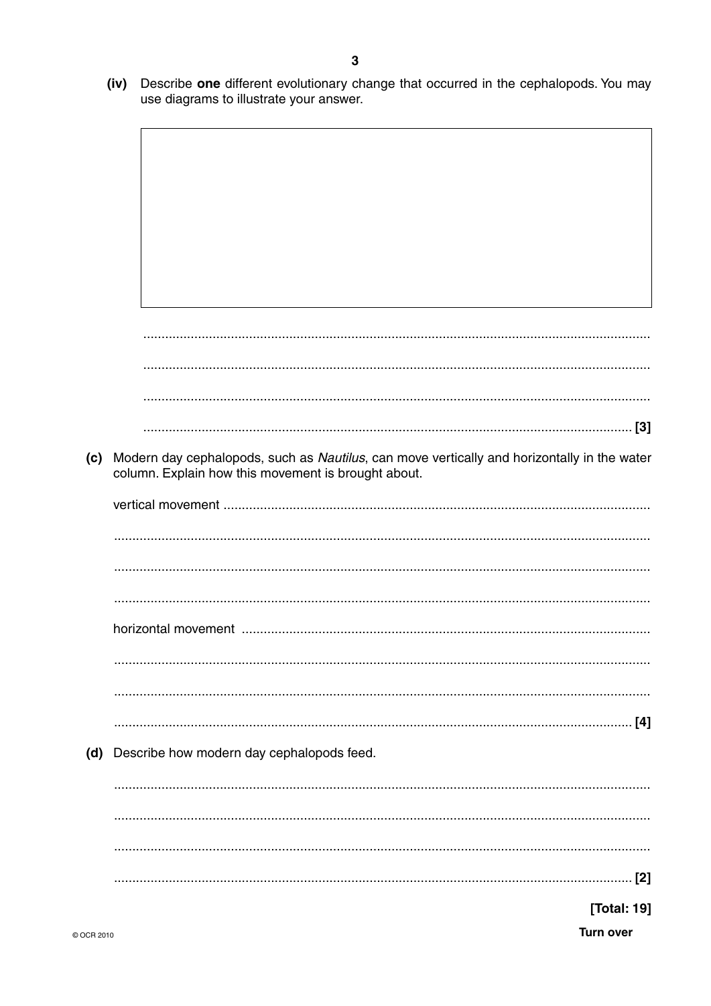$(iv)$ Describe one different evolutionary change that occurred in the cephalopods. You may use diagrams to illustrate your answer.

(c) Modern day cephalopods, such as Nautilus, can move vertically and horizontally in the water column. Explain how this movement is brought about. (d) Describe how modern day cephalopods feed. [Total: 19]

**Turn over**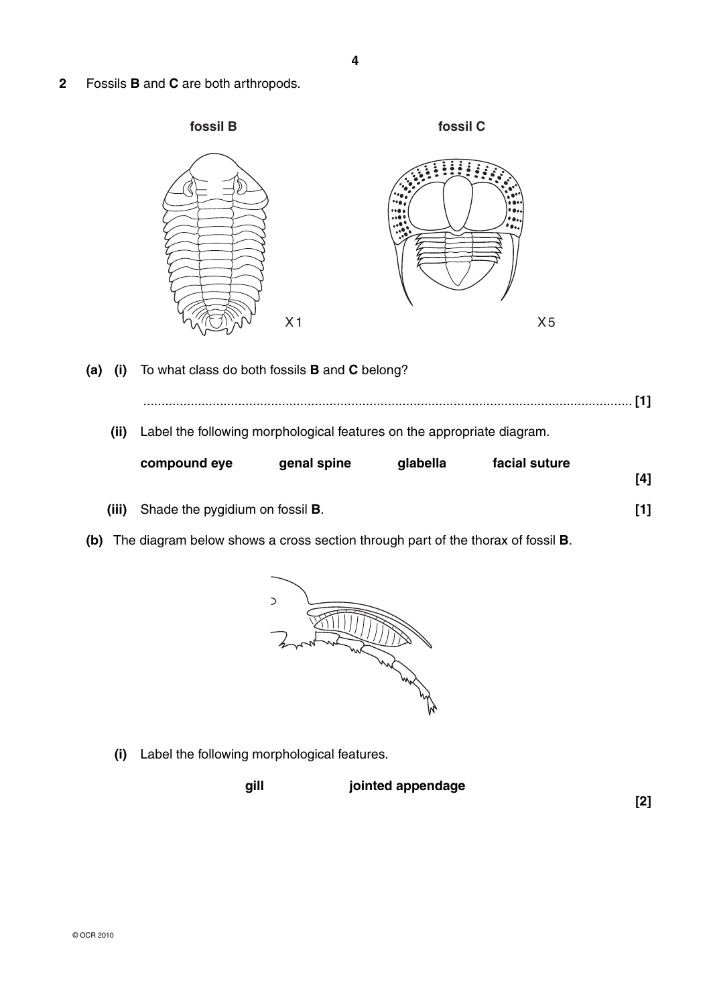**2** Fossils **B** and **C** are both arthropods.



- **(a) (i)** To what class do both fossils **B** and **C** belong?
	- **(ii)** Label the following morphological features on the appropriate diagram.

| compound eye | genal spine | glabella | facial suture |     |
|--------------|-------------|----------|---------------|-----|
|              |             |          |               | [4] |
|              |             |          |               |     |

...................................................................................................................................... **[1]**

- **(iii)** Shade the pygidium on fossil **B**. **[1]**
- **(b)** The diagram below shows a cross section through part of the thorax of fossil **B**.



 **(i)** Label the following morphological features.



**[2]**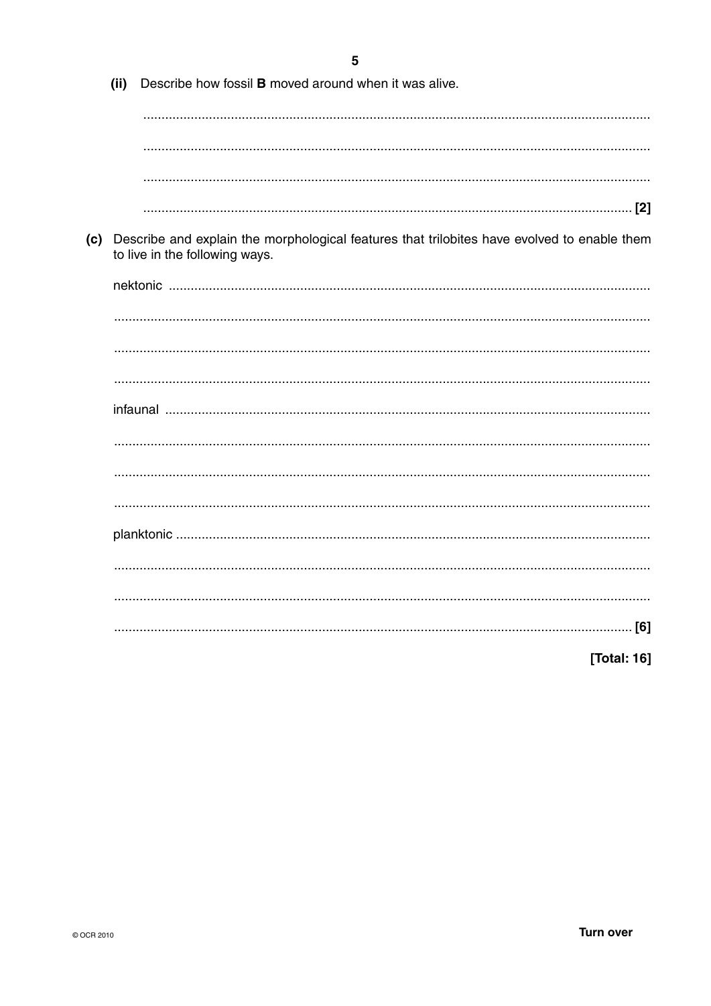|     | (ii) | Describe how fossil <b>B</b> moved around when it was alive.                                                                  |
|-----|------|-------------------------------------------------------------------------------------------------------------------------------|
|     |      |                                                                                                                               |
|     |      |                                                                                                                               |
|     |      |                                                                                                                               |
|     |      |                                                                                                                               |
| (c) |      | Describe and explain the morphological features that trilobites have evolved to enable them<br>to live in the following ways. |
|     |      |                                                                                                                               |
|     |      |                                                                                                                               |
|     |      |                                                                                                                               |
|     |      |                                                                                                                               |
|     |      |                                                                                                                               |
|     |      |                                                                                                                               |
|     |      |                                                                                                                               |
|     |      |                                                                                                                               |
|     |      |                                                                                                                               |
|     |      |                                                                                                                               |
|     |      |                                                                                                                               |
|     |      |                                                                                                                               |
|     |      | [Total: 16]                                                                                                                   |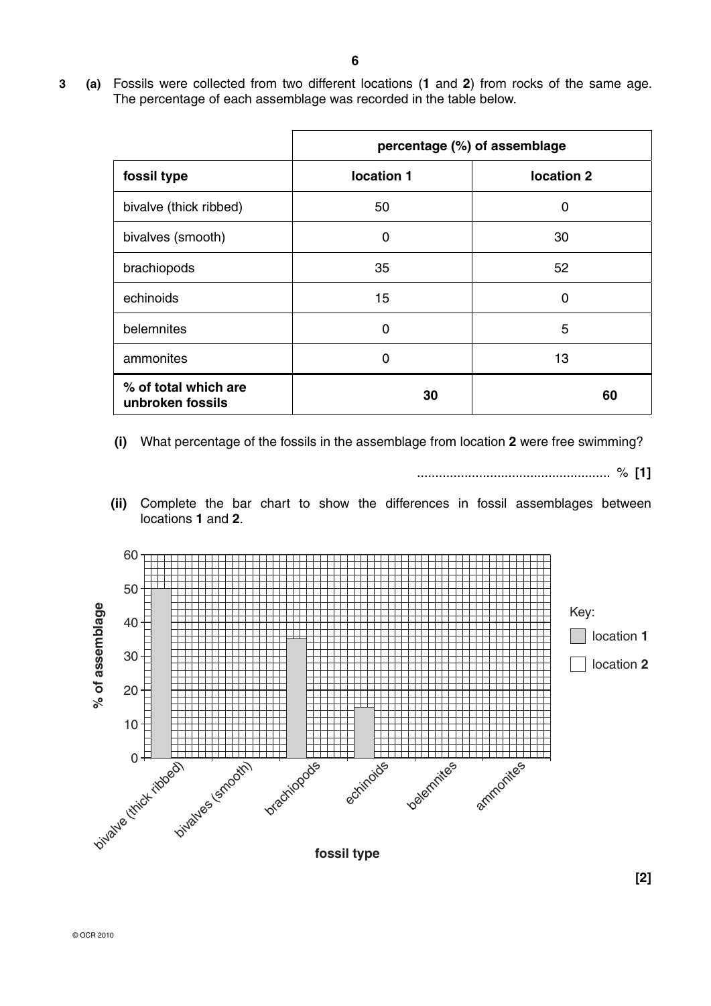**3 (a)** Fossils were collected from two different locations (**1** and **2**) from rocks of the same age. The percentage of each assemblage was recorded in the table below.

|                                          |            | percentage (%) of assemblage |
|------------------------------------------|------------|------------------------------|
| fossil type                              | location 1 | location 2                   |
| bivalve (thick ribbed)                   | 50         | O                            |
| bivalves (smooth)                        | 0          | 30                           |
| brachiopods                              | 35         | 52                           |
| echinoids                                | 15         | ∩                            |
| belemnites                               | 0          | 5                            |
| ammonites                                | O          | 13                           |
| % of total which are<br>unbroken fossils | 30         | 60                           |

 **(i)** What percentage of the fossils in the assemblage from location **2** were free swimming?

..................................................... % **[1]**

 **(ii)** Complete the bar chart to show the differences in fossil assemblages between locations **1** and **2**.

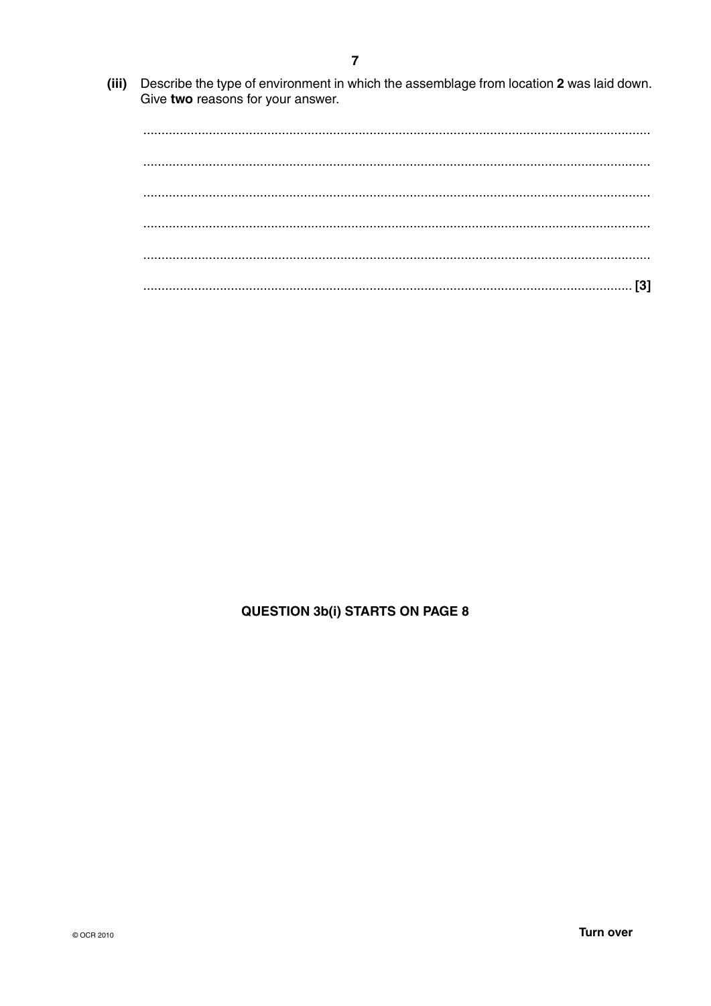(iii) Describe the type of environment in which the assemblage from location 2 was laid down. Give two reasons for your answer.

# **QUESTION 3b(i) STARTS ON PAGE 8**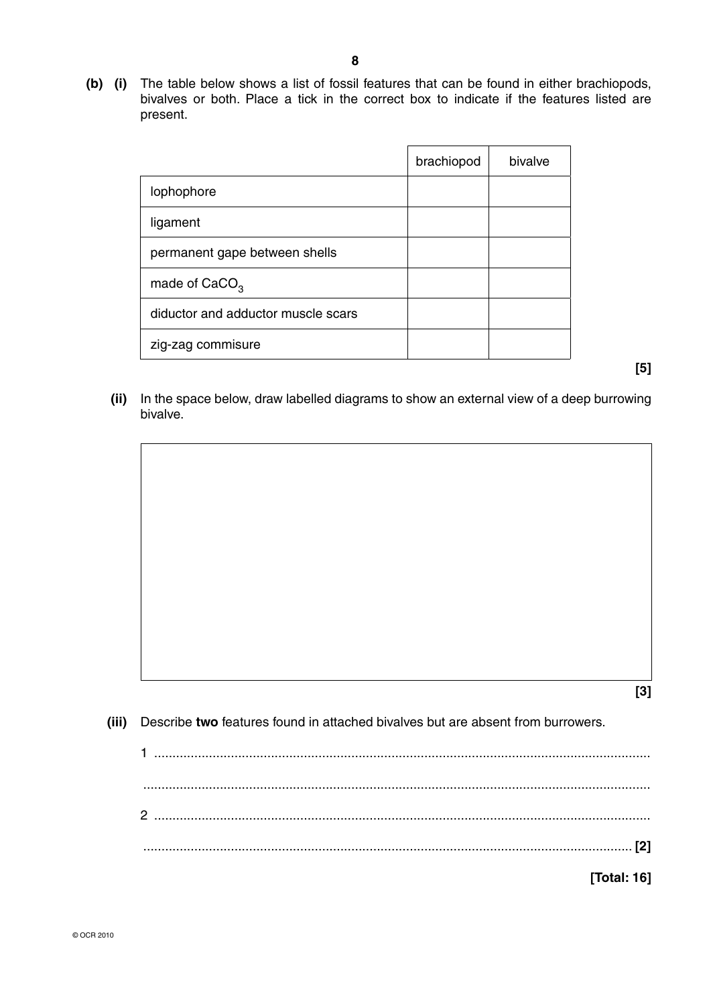**(b) (i)** The table below shows a list of fossil features that can be found in either brachiopods, bivalves or both. Place a tick in the correct box to indicate if the features listed are present.

|                                    | brachiopod | bivalve |
|------------------------------------|------------|---------|
| lophophore                         |            |         |
| ligament                           |            |         |
| permanent gape between shells      |            |         |
| made of $CaCO3$                    |            |         |
| diductor and adductor muscle scars |            |         |
| zig-zag commisure                  |            |         |

**[5]**

 **(ii)** In the space below, draw labelled diagrams to show an external view of a deep burrowing bivalve.

**[3]**

 **(iii)** Describe **two** features found in attached bivalves but are absent from burrowers.

| [Total: 16] |  |
|-------------|--|
|             |  |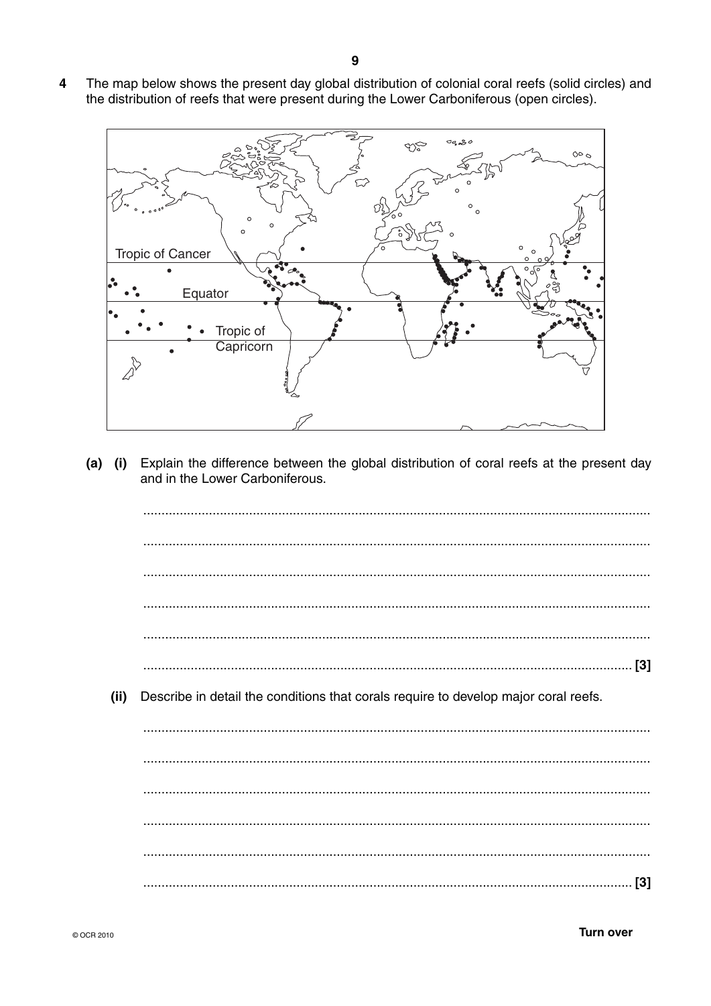The map below shows the present day global distribution of colonial coral reefs (solid circles) and  $\overline{\mathbf{4}}$ the distribution of reefs that were present during the Lower Carboniferous (open circles).



 $(a)$   $(i)$ Explain the difference between the global distribution of coral reefs at the present day and in the Lower Carboniferous.

 $(ii)$ Describe in detail the conditions that corals require to develop major coral reefs.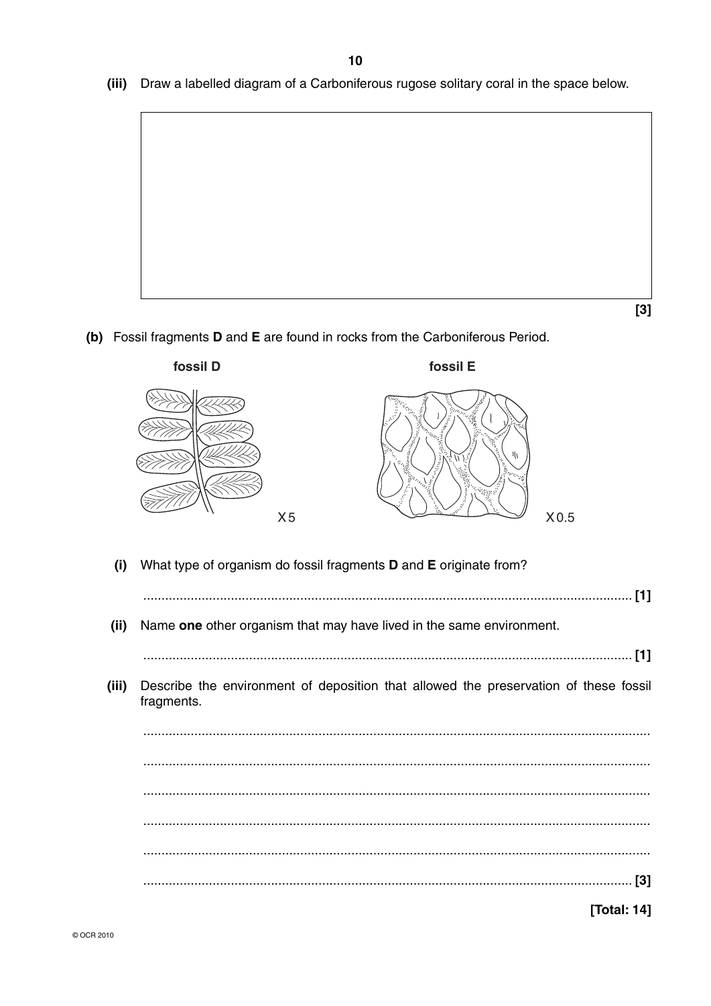(iii) Draw a labelled diagram of a Carboniferous rugose solitary coral in the space below.



- $[3]$
- (b) Fossil fragments D and E are found in rocks from the Carboniferous Period.

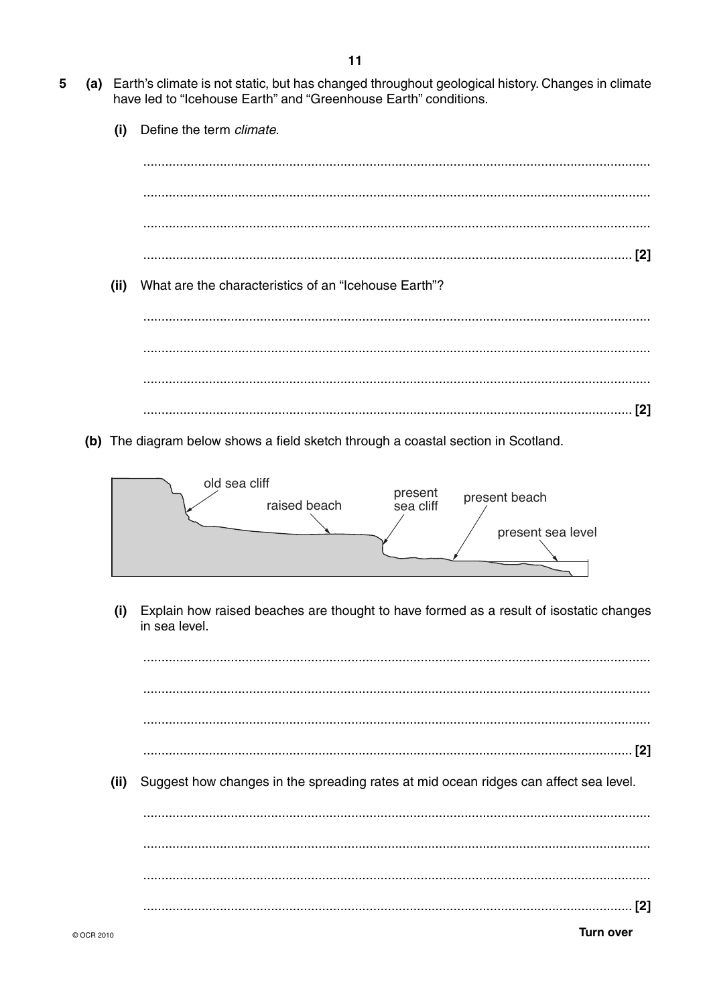- (a) Earth's climate is not static, but has changed throughout geological history. Changes in climate 5 have led to "Icehouse Earth" and "Greenhouse Earth" conditions.
	- Define the term climate.  $(i)$ What are the characteristics of an "Icehouse Earth"?  $(ii)$ (b) The diagram below shows a field sketch through a coastal section in Scotland.



Explain how raised beaches are thought to have formed as a result of isostatic changes  $(i)$ in sea level.

 $(ii)$ Suggest how changes in the spreading rates at mid ocean ridges can affect sea level.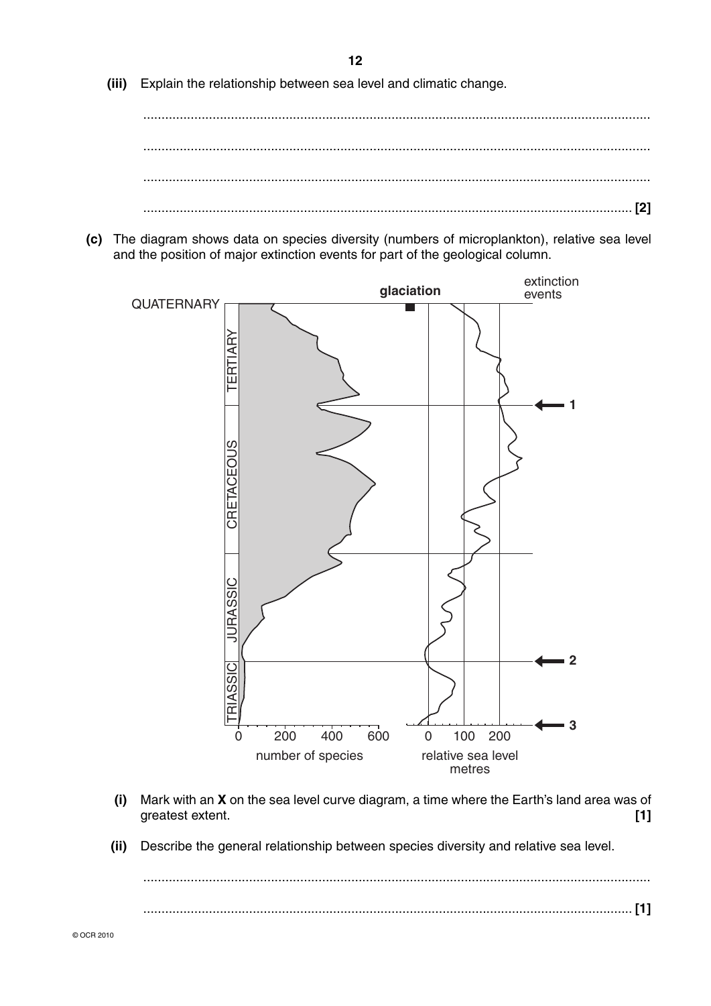**(iii)** Explain the relationship between sea level and climatic change.

 ........................................................................................................................................... ........................................................................................................................................... ...................................................................................................................................... **[2]**

 **(c)** The diagram shows data on species diversity (numbers of microplankton), relative sea level and the position of major extinction events for part of the geological column.



- **(i)** Mark with an **X** on the sea level curve diagram, a time where the Earth's land area was of greatest extent. **[1]**
- **(ii)** Describe the general relationship between species diversity and relative sea level.

 ........................................................................................................................................... ...................................................................................................................................... **[1]**

**12**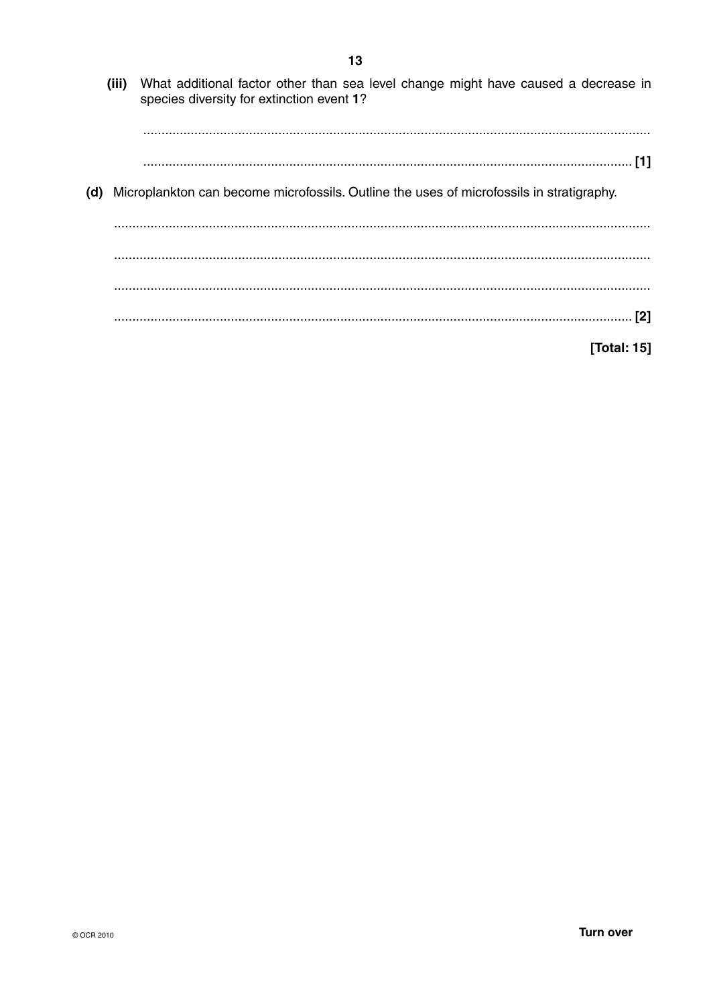- (iii) What additional factor other than sea level change might have caused a decrease in species diversity for extinction event 1? (d) Microplankton can become microfossils. Outline the uses of microfossils in stratigraphy.
	-

[Total: 15]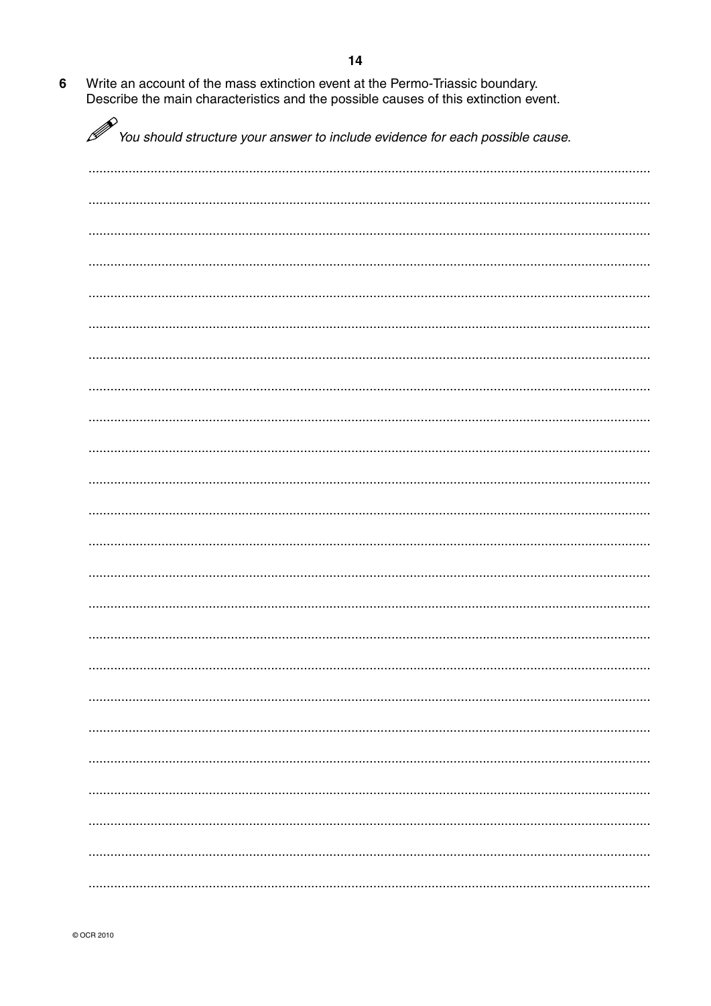$6\phantom{a}$ Write an account of the mass extinction event at the Permo-Triassic boundary. Describe the main characteristics and the possible causes of this extinction event.

| P | You should structure your answer to include evidence for each possible cause. |
|---|-------------------------------------------------------------------------------|
|   |                                                                               |
|   |                                                                               |
|   |                                                                               |
|   |                                                                               |
|   |                                                                               |
|   |                                                                               |
|   |                                                                               |
|   |                                                                               |
|   |                                                                               |
|   |                                                                               |
|   |                                                                               |
|   |                                                                               |
|   |                                                                               |
|   |                                                                               |
|   |                                                                               |
|   |                                                                               |
|   |                                                                               |
|   |                                                                               |
|   |                                                                               |
|   |                                                                               |
|   |                                                                               |
|   |                                                                               |
|   |                                                                               |
|   |                                                                               |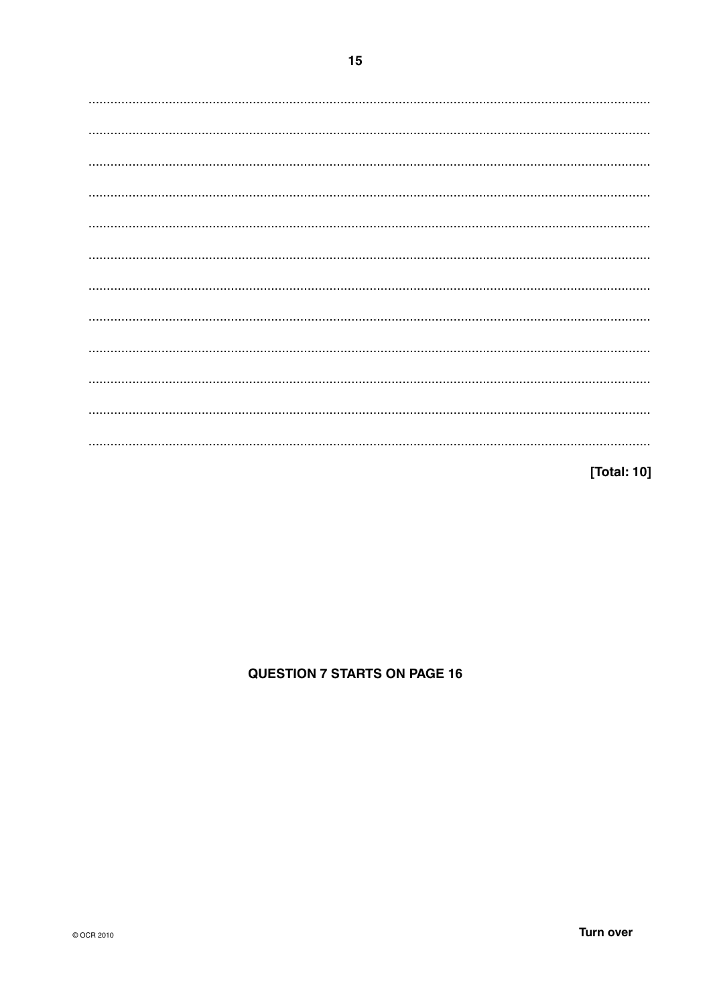[Total: 10]

# **QUESTION 7 STARTS ON PAGE 16**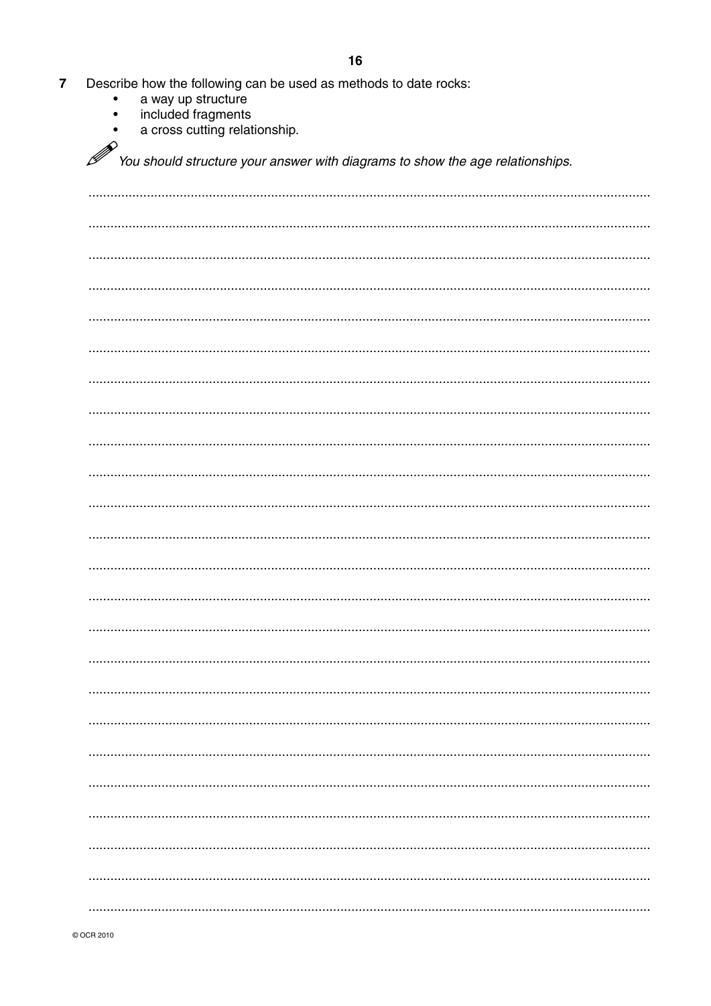- $\overline{7}$ Describe how the following can be used as methods to date rocks:
	- a way up structure  $\bullet$
	- included fragments  $\bullet$
	- a cross cutting relationship.  $\bullet$

 $\mathscr{P}$ y<br>You should structure your answer with diagrams to show the age relationships.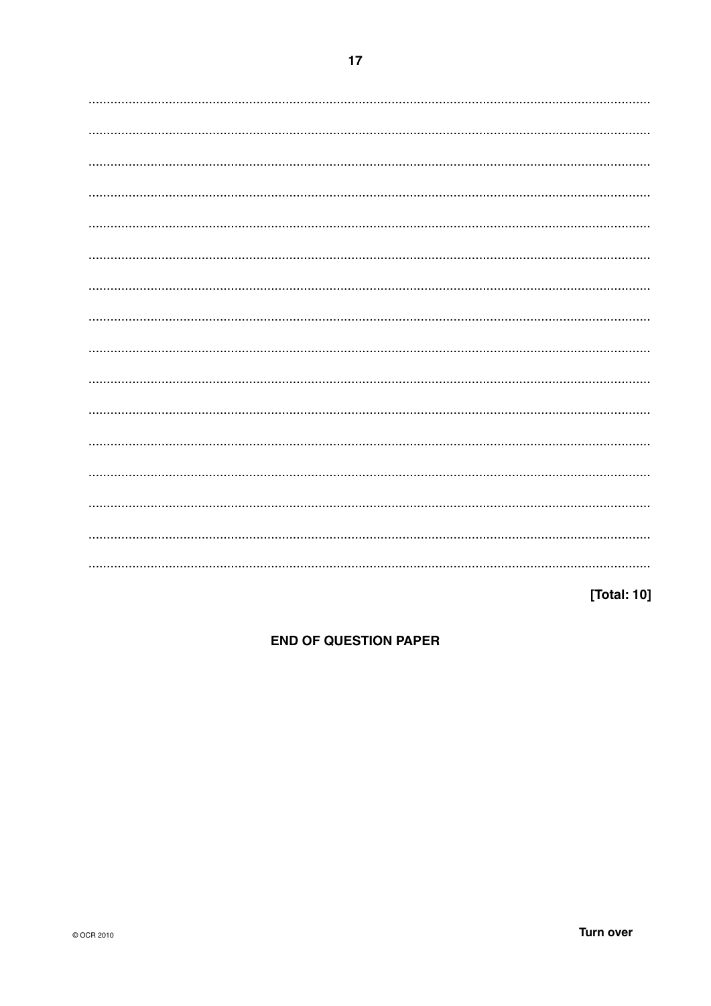[Total: 10]

**END OF QUESTION PAPER**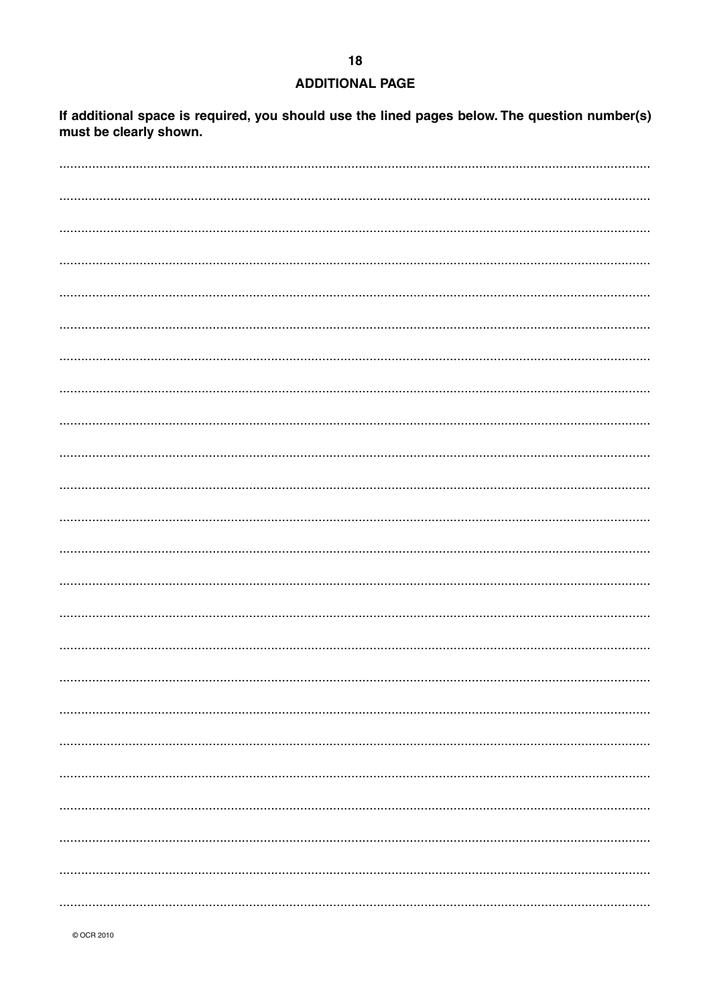## **ADDITIONAL PAGE**

If additional space is required, you should use the lined pages below. The question number(s) must be clearly shown.

© OCR 2010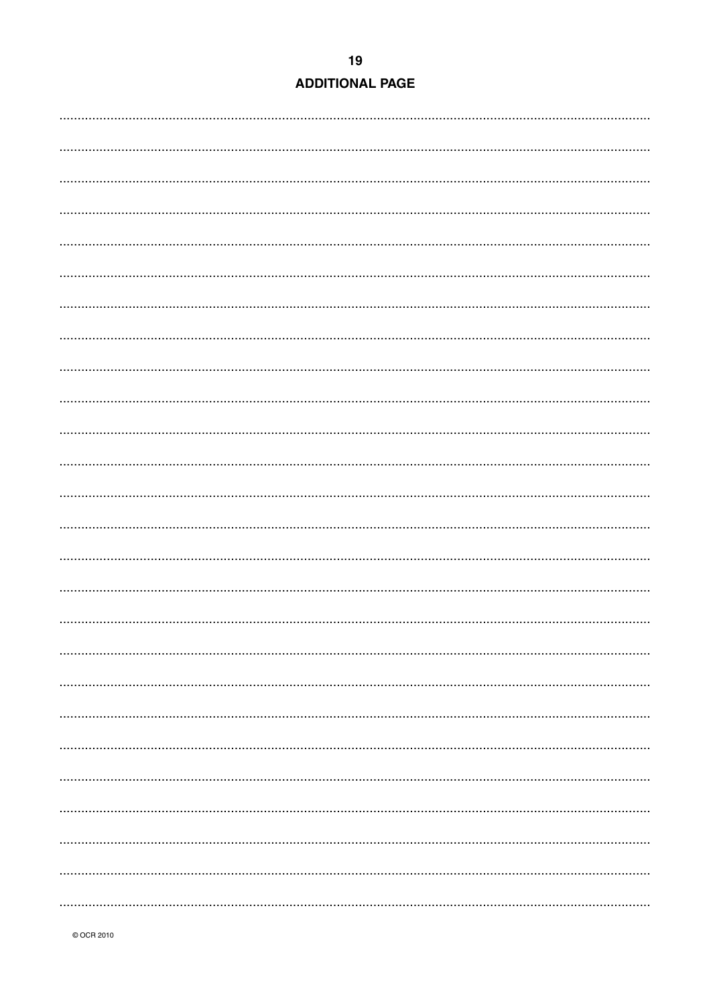| <b>ADDITIONAL PAGE</b> |  |
|------------------------|--|
|                        |  |

© OCR 2010